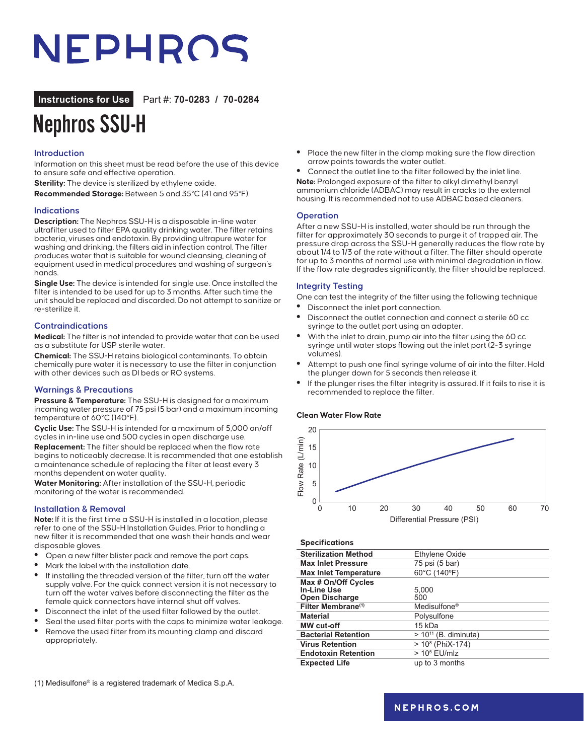# NEPHROS

### **Instructions for Use** Part #: **70-0283 / 70-0284**

# Nephros SSU-H

#### **Introduction**

Information on this sheet must be read before the use of this device to ensure safe and effective operation.

**Sterility:** The device is sterilized by ethylene oxide.

**Recommended Storage:** Between 5 and 35°C (41 and 95°F).

#### **Indications**

**Description:** The Nephros SSU-H is a disposable in-line water ultrafilter used to filter EPA quality drinking water. The filter retains bacteria, viruses and endotoxin. By providing ultrapure water for washing and drinking, the filters aid in infection control. The filter produces water that is suitable for wound cleansing, cleaning of equipment used in medical procedures and washing of surgeon's hands.

**Single Use:** The device is intended for single use. Once installed the filter is intended to be used for up to 3 months. After such time the unit should be replaced and discarded. Do not attempt to sanitize or re-sterilize it.

#### **Contraindications**

**Medical:** The filter is not intended to provide water that can be used as a substitute for USP sterile water.

**Chemical:** The SSU-H retains biological contaminants. To obtain chemically pure water it is necessary to use the filter in conjunction with other devices such as DI beds or RO systems.

#### **Warnings & Precautions**

**Pressure & Temperature:** The SSU-H is designed for a maximum incoming water pressure of 75 psi (5 bar) and a maximum incoming temperature of 60°C (140°F).

**Cyclic Use:** The SSU-H is intended for a maximum of 5,000 on/off cycles in in-line use and 500 cycles in open discharge use. **Replacement:** The filter should be replaced when the flow rate begins to noticeably decrease. It is recommended that one establish a maintenance schedule of replacing the filter at least every 3 months dependent on water quality.

**Water Monitoring:** After installation of the SSU-H, periodic monitoring of the water is recommended.

#### **Installation & Removal**

**Note:** If it is the first time a SSU-H is installed in a location, please refer to one of the SSU-H Installation Guides. Prior to handling a new filter it is recommended that one wash their hands and wear disposable gloves.

- **•** Open a new filter blister pack and remove the port caps.
- **•** Mark the label with the installation date.
- **•** If installing the threaded version of the filter, turn off the water supply valve. For the quick connect version it is not necessary to turn off the water valves before disconnecting the filter as the female quick connectors have internal shut off valves.
- **•** Disconnect the inlet of the used filter followed by the outlet.
- **•** Seal the used filter ports with the caps to minimize water leakage.
- **•** Remove the used filter from its mounting clamp and discard appropriately.

(1) Medisulfone® is a registered trademark of Medica S.p.A.

- **•** Place the new filter in the clamp making sure the flow direction arrow points towards the water outlet.
- **•** Connect the outlet line to the filter followed by the inlet line.

**Note:** Prolonged exposure of the filter to alkyl dimethyl benzyl ammonium chloride (ADBAC) may result in cracks to the external housing. It is recommended not to use ADBAC based cleaners.

#### **Operation**

After a new SSU-H is installed, water should be run through the filter for approximately 30 seconds to purge it of trapped air. The pressure drop across the SSU-H generally reduces the flow rate by about 1/4 to 1/3 of the rate without a filter. The filter should operate for up to 3 months of normal use with minimal degradation in flow. If the flow rate degrades significantly, the filter should be replaced.

#### **Integrity Testing**

- One can test the integrity of the filter using the following technique
- **•** Disconnect the inlet port connection.
- **•** Disconnect the outlet connection and connect a sterile 60 cc syringe to the outlet port using an adapter.
- **•** With the inlet to drain, pump air into the filter using the 60 cc syringe until water stops flowing out the inlet port (2-3 syringe volumes).
- **•** Attempt to push one final syringe volume of air into the filter. Hold the plunger down for 5 seconds then release it.
- **•** If the plunger rises the filter integrity is assured. If it fails to rise it is recommended to replace the filter.

#### **Clean Water Flow Rate**



#### **Specifications**

| Flow Rate (L/min)<br>15<br>10<br>5 |                                                  |                           |                             |    |    |    |    |  |  |
|------------------------------------|--------------------------------------------------|---------------------------|-----------------------------|----|----|----|----|--|--|
| 0                                  | 10<br>0                                          | 20                        | 30                          | 40 | 50 | 60 | 70 |  |  |
|                                    |                                                  |                           | Differential Pressure (PSI) |    |    |    |    |  |  |
|                                    |                                                  |                           |                             |    |    |    |    |  |  |
|                                    | <b>Specifications</b>                            |                           |                             |    |    |    |    |  |  |
|                                    | <b>Sterilization Method</b>                      | Ethylene Oxide            |                             |    |    |    |    |  |  |
|                                    | <b>Max Inlet Pressure</b>                        |                           | 75 psi (5 bar)              |    |    |    |    |  |  |
|                                    | <b>Max Inlet Temperature</b>                     | 60°C (140°F)              |                             |    |    |    |    |  |  |
| Max # On/Off Cycles                |                                                  |                           |                             |    |    |    |    |  |  |
|                                    | <b>In-Line Use</b>                               | 5,000<br>500              |                             |    |    |    |    |  |  |
|                                    | Open Discharge<br>Filter Membrane <sup>(1)</sup> | Medisulfone <sup>®</sup>  |                             |    |    |    |    |  |  |
| <b>Material</b>                    |                                                  | Polysulfone               |                             |    |    |    |    |  |  |
|                                    | <b>MW</b> cut-off                                | 15 kDa                    |                             |    |    |    |    |  |  |
|                                    | <b>Bacterial Retention</b>                       | $> 10^{11}$ (B. diminuta) |                             |    |    |    |    |  |  |
|                                    | <b>Virus Retention</b>                           | $> 108$ (PhiX-174)        |                             |    |    |    |    |  |  |
|                                    | <b>Endotoxin Retention</b>                       | $> 105$ EU/mlz            |                             |    |    |    |    |  |  |
|                                    | <b>Expected Life</b>                             | up to 3 months            |                             |    |    |    |    |  |  |
|                                    |                                                  |                           |                             |    |    |    |    |  |  |

### **[nephros.com](https://www.nephros.com/)**